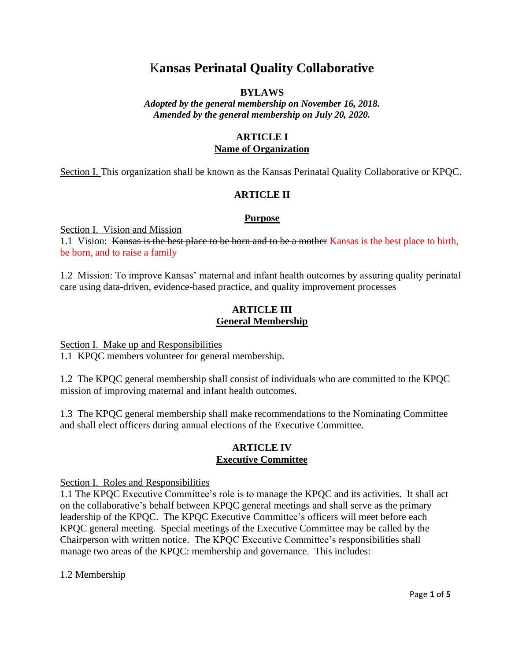# K**ansas Perinatal Quality Collaborative**

# **BYLAWS**

*Adopted by the general membership on November 16, 2018. Amended by the general membership on July 20, 2020.*

# **ARTICLE I Name of Organization**

Section I. This organization shall be known as the Kansas Perinatal Quality Collaborative or KPQC.

# **ARTICLE II**

### **Purpose**

Section I. Vision and Mission

1.1 Vision: Kansas is the best place to be born and to be a mother Kansas is the best place to birth, be born, and to raise a family

1.2 Mission: To improve Kansas' maternal and infant health outcomes by assuring quality perinatal care using data-driven, evidence-based practice, and quality improvement processes

# **ARTICLE III General Membership**

Section I. Make up and Responsibilities

1.1 KPQC members volunteer for general membership.

1.2 The KPQC general membership shall consist of individuals who are committed to the KPQC mission of improving maternal and infant health outcomes.

1.3 The KPQC general membership shall make recommendations to the Nominating Committee and shall elect officers during annual elections of the Executive Committee.

# **ARTICLE IV Executive Committee**

Section I. Roles and Responsibilities

1.1 The KPQC Executive Committee's role is to manage the KPQC and its activities. It shall act on the collaborative's behalf between KPQC general meetings and shall serve as the primary leadership of the KPQC. The KPQC Executive Committee's officers will meet before each KPQC general meeting. Special meetings of the Executive Committee may be called by the Chairperson with written notice. The KPQC Executive Committee's responsibilities shall manage two areas of the KPQC: membership and governance. This includes:

1.2 Membership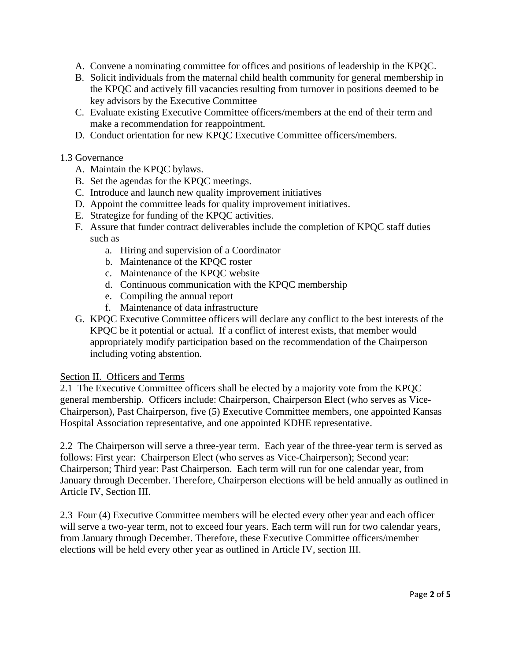- A. Convene a nominating committee for offices and positions of leadership in the KPQC.
- B. Solicit individuals from the maternal child health community for general membership in the KPQC and actively fill vacancies resulting from turnover in positions deemed to be key advisors by the Executive Committee
- C. Evaluate existing Executive Committee officers/members at the end of their term and make a recommendation for reappointment.
- D. Conduct orientation for new KPQC Executive Committee officers/members.

### 1.3 Governance

- A. Maintain the KPQC bylaws.
- B. Set the agendas for the KPQC meetings.
- C. Introduce and launch new quality improvement initiatives
- D. Appoint the committee leads for quality improvement initiatives.
- E. Strategize for funding of the KPQC activities.
- F. Assure that funder contract deliverables include the completion of KPQC staff duties such as
	- a. Hiring and supervision of a Coordinator
	- b. Maintenance of the KPQC roster
	- c. Maintenance of the KPQC website
	- d. Continuous communication with the KPQC membership
	- e. Compiling the annual report
	- f. Maintenance of data infrastructure
- G. KPQC Executive Committee officers will declare any conflict to the best interests of the KPQC be it potential or actual. If a conflict of interest exists, that member would appropriately modify participation based on the recommendation of the Chairperson including voting abstention.

### Section II. Officers and Terms

2.1 The Executive Committee officers shall be elected by a majority vote from the KPQC general membership.Officers include: Chairperson, Chairperson Elect (who serves as Vice-Chairperson), Past Chairperson, five (5) Executive Committee members, one appointed Kansas Hospital Association representative, and one appointed KDHE representative.

2.2 The Chairperson will serve a three-year term. Each year of the three-year term is served as follows: First year: Chairperson Elect (who serves as Vice-Chairperson); Second year: Chairperson; Third year: Past Chairperson. Each term will run for one calendar year, from January through December. Therefore, Chairperson elections will be held annually as outlined in Article IV, Section III.

2.3 Four (4) Executive Committee members will be elected every other year and each officer will serve a two-year term, not to exceed four years. Each term will run for two calendar years, from January through December. Therefore, these Executive Committee officers/member elections will be held every other year as outlined in Article IV, section III.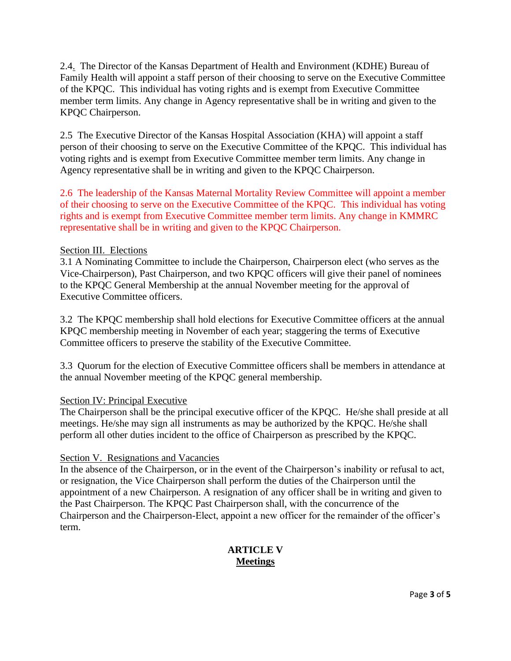2.4. The Director of the Kansas Department of Health and Environment (KDHE) Bureau of Family Health will appoint a staff person of their choosing to serve on the Executive Committee of the KPQC. This individual has voting rights and is exempt from Executive Committee member term limits. Any change in Agency representative shall be in writing and given to the KPQC Chairperson.

2.5 The Executive Director of the Kansas Hospital Association (KHA) will appoint a staff person of their choosing to serve on the Executive Committee of the KPQC. This individual has voting rights and is exempt from Executive Committee member term limits. Any change in Agency representative shall be in writing and given to the KPQC Chairperson.

2.6 The leadership of the Kansas Maternal Mortality Review Committee will appoint a member of their choosing to serve on the Executive Committee of the KPQC. This individual has voting rights and is exempt from Executive Committee member term limits. Any change in KMMRC representative shall be in writing and given to the KPQC Chairperson.

# Section III. Elections

3.1 A Nominating Committee to include the Chairperson, Chairperson elect (who serves as the Vice-Chairperson), Past Chairperson, and two KPQC officers will give their panel of nominees to the KPQC General Membership at the annual November meeting for the approval of Executive Committee officers.

3.2 The KPQC membership shall hold elections for Executive Committee officers at the annual KPQC membership meeting in November of each year; staggering the terms of Executive Committee officers to preserve the stability of the Executive Committee.

3.3 Quorum for the election of Executive Committee officers shall be members in attendance at the annual November meeting of the KPQC general membership.

# Section IV: Principal Executive

The Chairperson shall be the principal executive officer of the KPQC. He/she shall preside at all meetings. He/she may sign all instruments as may be authorized by the KPQC. He/she shall perform all other duties incident to the office of Chairperson as prescribed by the KPQC.

# Section V. Resignations and Vacancies

In the absence of the Chairperson, or in the event of the Chairperson's inability or refusal to act, or resignation, the Vice Chairperson shall perform the duties of the Chairperson until the appointment of a new Chairperson. A resignation of any officer shall be in writing and given to the Past Chairperson. The KPQC Past Chairperson shall, with the concurrence of the Chairperson and the Chairperson-Elect, appoint a new officer for the remainder of the officer's term.

# **ARTICLE V Meetings**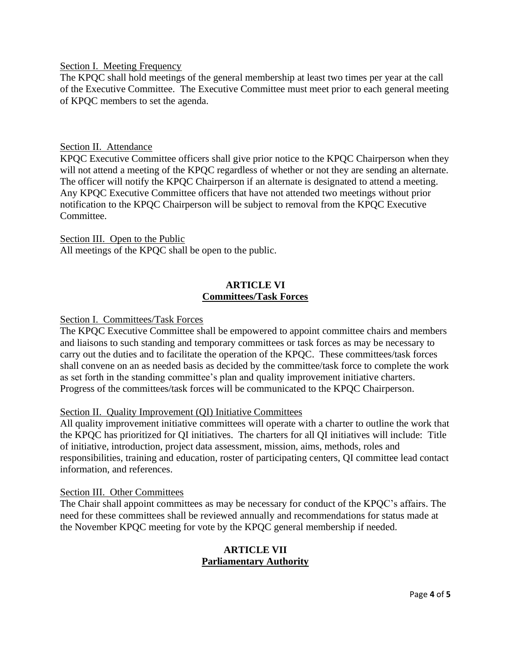Section I. Meeting Frequency

The KPQC shall hold meetings of the general membership at least two times per year at the call of the Executive Committee. The Executive Committee must meet prior to each general meeting of KPQC members to set the agenda.

### Section II. Attendance

KPQC Executive Committee officers shall give prior notice to the KPQC Chairperson when they will not attend a meeting of the KPQC regardless of whether or not they are sending an alternate. The officer will notify the KPQC Chairperson if an alternate is designated to attend a meeting. Any KPQC Executive Committee officers that have not attended two meetings without prior notification to the KPQC Chairperson will be subject to removal from the KPQC Executive Committee.

### Section III. Open to the Public

All meetings of the KPQC shall be open to the public.

# **ARTICLE VI Committees/Task Forces**

### Section I. Committees/Task Forces

The KPQC Executive Committee shall be empowered to appoint committee chairs and members and liaisons to such standing and temporary committees or task forces as may be necessary to carry out the duties and to facilitate the operation of the KPQC. These committees/task forces shall convene on an as needed basis as decided by the committee/task force to complete the work as set forth in the standing committee's plan and quality improvement initiative charters. Progress of the committees/task forces will be communicated to the KPQC Chairperson.

### Section II. Quality Improvement (QI) Initiative Committees

All quality improvement initiative committees will operate with a charter to outline the work that the KPQC has prioritized for QI initiatives. The charters for all QI initiatives will include: Title of initiative, introduction, project data assessment, mission, aims, methods, roles and responsibilities, training and education, roster of participating centers, QI committee lead contact information, and references.

#### Section III. Other Committees

The Chair shall appoint committees as may be necessary for conduct of the KPQC's affairs. The need for these committees shall be reviewed annually and recommendations for status made at the November KPQC meeting for vote by the KPQC general membership if needed.

### **ARTICLE VII Parliamentary Authority**